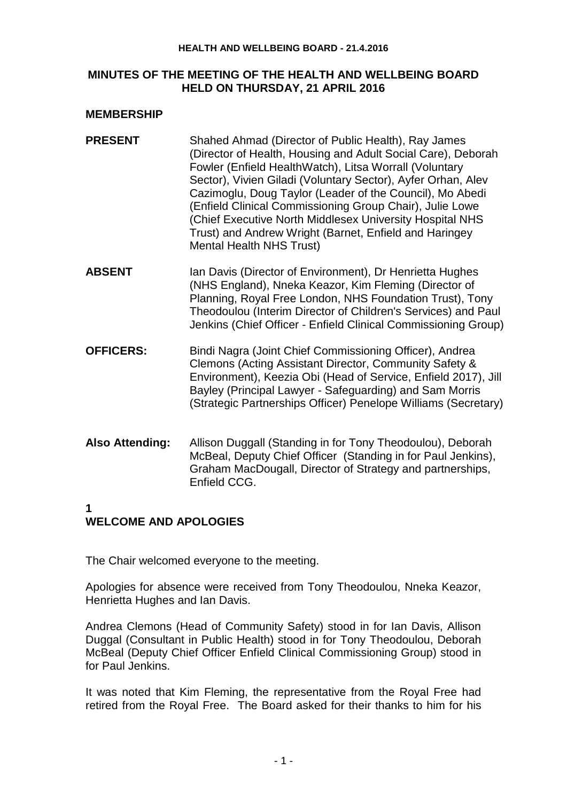#### **HEALTH AND WELLBEING BOARD - 21.4.2016**

#### **MINUTES OF THE MEETING OF THE HEALTH AND WELLBEING BOARD HELD ON THURSDAY, 21 APRIL 2016**

#### **MEMBERSHIP**

- **PRESENT** Shahed Ahmad (Director of Public Health), Ray James (Director of Health, Housing and Adult Social Care), Deborah Fowler (Enfield HealthWatch), Litsa Worrall (Voluntary Sector), Vivien Giladi (Voluntary Sector), Ayfer Orhan, Alev Cazimoglu, Doug Taylor (Leader of the Council), Mo Abedi (Enfield Clinical Commissioning Group Chair), Julie Lowe (Chief Executive North Middlesex University Hospital NHS Trust) and Andrew Wright (Barnet, Enfield and Haringey Mental Health NHS Trust)
- **ABSENT** Ian Davis (Director of Environment), Dr Henrietta Hughes (NHS England), Nneka Keazor, Kim Fleming (Director of Planning, Royal Free London, NHS Foundation Trust), Tony Theodoulou (Interim Director of Children's Services) and Paul Jenkins (Chief Officer - Enfield Clinical Commissioning Group)
- **OFFICERS:** Bindi Nagra (Joint Chief Commissioning Officer), Andrea Clemons (Acting Assistant Director, Community Safety & Environment), Keezia Obi (Head of Service, Enfield 2017), Jill Bayley (Principal Lawyer - Safeguarding) and Sam Morris (Strategic Partnerships Officer) Penelope Williams (Secretary)
- **Also Attending:** Allison Duggall (Standing in for Tony Theodoulou), Deborah McBeal, Deputy Chief Officer (Standing in for Paul Jenkins), Graham MacDougall, Director of Strategy and partnerships, Enfield CCG.

### **1**

# **WELCOME AND APOLOGIES**

The Chair welcomed everyone to the meeting.

Apologies for absence were received from Tony Theodoulou, Nneka Keazor, Henrietta Hughes and Ian Davis.

Andrea Clemons (Head of Community Safety) stood in for Ian Davis, Allison Duggal (Consultant in Public Health) stood in for Tony Theodoulou, Deborah McBeal (Deputy Chief Officer Enfield Clinical Commissioning Group) stood in for Paul Jenkins.

It was noted that Kim Fleming, the representative from the Royal Free had retired from the Royal Free. The Board asked for their thanks to him for his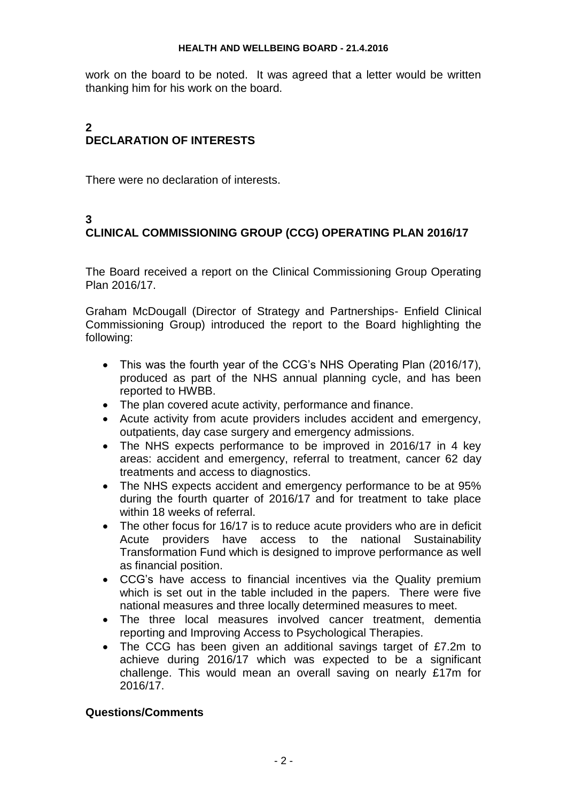work on the board to be noted. It was agreed that a letter would be written thanking him for his work on the board.

## **2 DECLARATION OF INTERESTS**

There were no declaration of interests.

## **3**

# **CLINICAL COMMISSIONING GROUP (CCG) OPERATING PLAN 2016/17**

The Board received a report on the Clinical Commissioning Group Operating Plan 2016/17.

Graham McDougall (Director of Strategy and Partnerships- Enfield Clinical Commissioning Group) introduced the report to the Board highlighting the following:

- This was the fourth year of the CCG's NHS Operating Plan (2016/17), produced as part of the NHS annual planning cycle, and has been reported to HWBB.
- The plan covered acute activity, performance and finance.
- Acute activity from acute providers includes accident and emergency, outpatients, day case surgery and emergency admissions.
- The NHS expects performance to be improved in 2016/17 in 4 key areas: accident and emergency, referral to treatment, cancer 62 day treatments and access to diagnostics.
- The NHS expects accident and emergency performance to be at 95% during the fourth quarter of 2016/17 and for treatment to take place within 18 weeks of referral.
- The other focus for 16/17 is to reduce acute providers who are in deficit Acute providers have access to the national Sustainability Transformation Fund which is designed to improve performance as well as financial position.
- CCG's have access to financial incentives via the Quality premium which is set out in the table included in the papers. There were five national measures and three locally determined measures to meet.
- The three local measures involved cancer treatment, dementia reporting and Improving Access to Psychological Therapies.
- The CCG has been given an additional savings target of £7.2m to achieve during 2016/17 which was expected to be a significant challenge. This would mean an overall saving on nearly £17m for 2016/17.

### **Questions/Comments**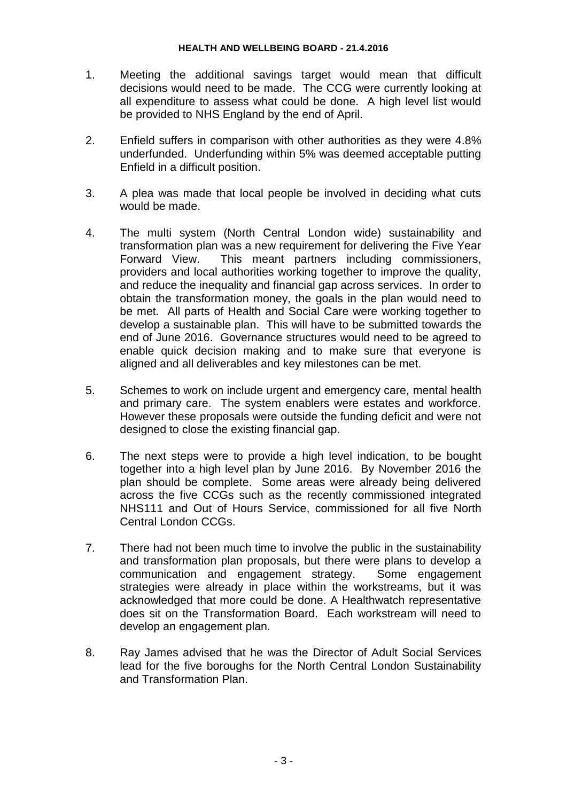- 1. Meeting the additional savings target would mean that difficult decisions would need to be made. The CCG were currently looking at all expenditure to assess what could be done. A high level list would be provided to NHS England by the end of April.
- 2. Enfield suffers in comparison with other authorities as they were 4.8% underfunded. Underfunding within 5% was deemed acceptable putting Enfield in a difficult position.
- 3. A plea was made that local people be involved in deciding what cuts would be made.
- 4. The multi system (North Central London wide) sustainability and transformation plan was a new requirement for delivering the Five Year Forward View. This meant partners including commissioners, providers and local authorities working together to improve the quality, and reduce the inequality and financial gap across services. In order to obtain the transformation money, the goals in the plan would need to be met. All parts of Health and Social Care were working together to develop a sustainable plan. This will have to be submitted towards the end of June 2016. Governance structures would need to be agreed to enable quick decision making and to make sure that everyone is aligned and all deliverables and key milestones can be met.
- 5. Schemes to work on include urgent and emergency care, mental health and primary care. The system enablers were estates and workforce. However these proposals were outside the funding deficit and were not designed to close the existing financial gap.
- 6. The next steps were to provide a high level indication, to be bought together into a high level plan by June 2016. By November 2016 the plan should be complete. Some areas were already being delivered across the five CCGs such as the recently commissioned integrated NHS111 and Out of Hours Service, commissioned for all five North Central London CCGs.
- 7. There had not been much time to involve the public in the sustainability and transformation plan proposals, but there were plans to develop a communication and engagement strategy. Some engagement strategies were already in place within the workstreams, but it was acknowledged that more could be done. A Healthwatch representative does sit on the Transformation Board. Each workstream will need to develop an engagement plan.
- 8. Ray James advised that he was the Director of Adult Social Services lead for the five boroughs for the North Central London Sustainability and Transformation Plan.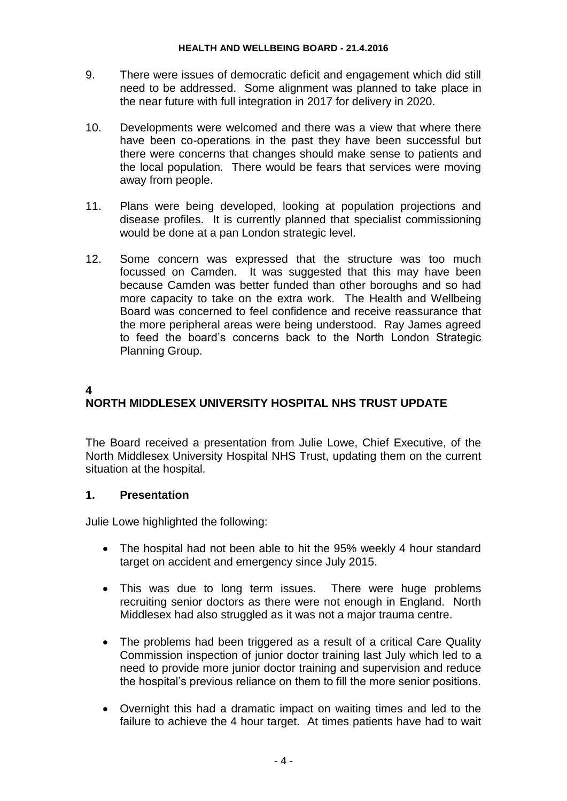- 9. There were issues of democratic deficit and engagement which did still need to be addressed. Some alignment was planned to take place in the near future with full integration in 2017 for delivery in 2020.
- 10. Developments were welcomed and there was a view that where there have been co-operations in the past they have been successful but there were concerns that changes should make sense to patients and the local population. There would be fears that services were moving away from people.
- 11. Plans were being developed, looking at population projections and disease profiles. It is currently planned that specialist commissioning would be done at a pan London strategic level.
- 12. Some concern was expressed that the structure was too much focussed on Camden. It was suggested that this may have been because Camden was better funded than other boroughs and so had more capacity to take on the extra work. The Health and Wellbeing Board was concerned to feel confidence and receive reassurance that the more peripheral areas were being understood. Ray James agreed to feed the board's concerns back to the North London Strategic Planning Group.

## **4 NORTH MIDDLESEX UNIVERSITY HOSPITAL NHS TRUST UPDATE**

The Board received a presentation from Julie Lowe, Chief Executive, of the North Middlesex University Hospital NHS Trust, updating them on the current situation at the hospital.

### **1. Presentation**

Julie Lowe highlighted the following:

- The hospital had not been able to hit the 95% weekly 4 hour standard target on accident and emergency since July 2015.
- This was due to long term issues. There were huge problems recruiting senior doctors as there were not enough in England. North Middlesex had also struggled as it was not a major trauma centre.
- The problems had been triggered as a result of a critical Care Quality Commission inspection of junior doctor training last July which led to a need to provide more junior doctor training and supervision and reduce the hospital's previous reliance on them to fill the more senior positions.
- Overnight this had a dramatic impact on waiting times and led to the failure to achieve the 4 hour target. At times patients have had to wait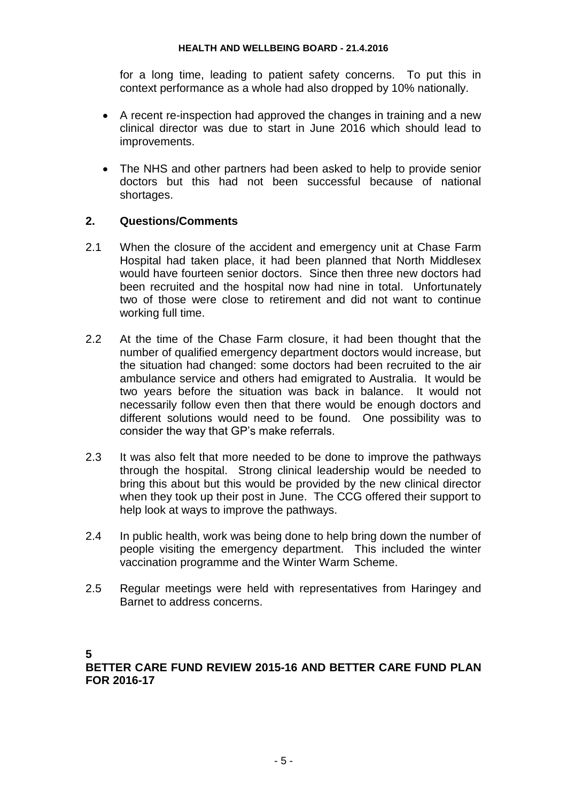for a long time, leading to patient safety concerns. To put this in context performance as a whole had also dropped by 10% nationally.

- A recent re-inspection had approved the changes in training and a new clinical director was due to start in June 2016 which should lead to improvements.
- The NHS and other partners had been asked to help to provide senior doctors but this had not been successful because of national shortages.

### **2. Questions/Comments**

- 2.1 When the closure of the accident and emergency unit at Chase Farm Hospital had taken place, it had been planned that North Middlesex would have fourteen senior doctors. Since then three new doctors had been recruited and the hospital now had nine in total. Unfortunately two of those were close to retirement and did not want to continue working full time.
- 2.2 At the time of the Chase Farm closure, it had been thought that the number of qualified emergency department doctors would increase, but the situation had changed: some doctors had been recruited to the air ambulance service and others had emigrated to Australia. It would be two years before the situation was back in balance. It would not necessarily follow even then that there would be enough doctors and different solutions would need to be found. One possibility was to consider the way that GP's make referrals.
- 2.3 It was also felt that more needed to be done to improve the pathways through the hospital. Strong clinical leadership would be needed to bring this about but this would be provided by the new clinical director when they took up their post in June. The CCG offered their support to help look at ways to improve the pathways.
- 2.4 In public health, work was being done to help bring down the number of people visiting the emergency department. This included the winter vaccination programme and the Winter Warm Scheme.
- 2.5 Regular meetings were held with representatives from Haringey and Barnet to address concerns.

**5**

**BETTER CARE FUND REVIEW 2015-16 AND BETTER CARE FUND PLAN FOR 2016-17**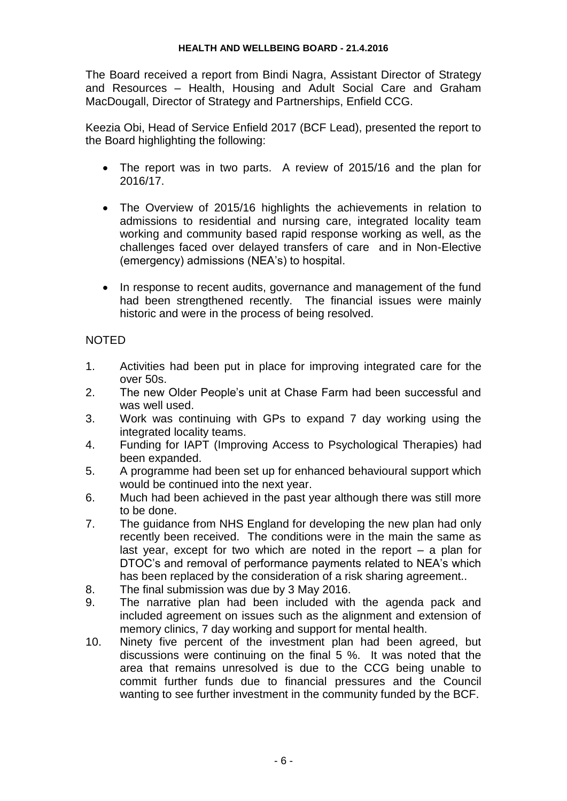The Board received a report from Bindi Nagra, Assistant Director of Strategy and Resources – Health, Housing and Adult Social Care and Graham MacDougall, Director of Strategy and Partnerships, Enfield CCG.

Keezia Obi, Head of Service Enfield 2017 (BCF Lead), presented the report to the Board highlighting the following:

- The report was in two parts. A review of 2015/16 and the plan for 2016/17.
- The Overview of 2015/16 highlights the achievements in relation to admissions to residential and nursing care, integrated locality team working and community based rapid response working as well, as the challenges faced over delayed transfers of care and in Non-Elective (emergency) admissions (NEA's) to hospital.
- In response to recent audits, governance and management of the fund had been strengthened recently. The financial issues were mainly historic and were in the process of being resolved.

## NOTED

- 1. Activities had been put in place for improving integrated care for the over 50s.
- 2. The new Older People's unit at Chase Farm had been successful and was well used.
- 3. Work was continuing with GPs to expand 7 day working using the integrated locality teams.
- 4. Funding for IAPT (Improving Access to Psychological Therapies) had been expanded.
- 5. A programme had been set up for enhanced behavioural support which would be continued into the next year.
- 6. Much had been achieved in the past year although there was still more to be done.
- 7. The guidance from NHS England for developing the new plan had only recently been received. The conditions were in the main the same as last year, except for two which are noted in the report – a plan for DTOC's and removal of performance payments related to NEA's which has been replaced by the consideration of a risk sharing agreement..
- 8. The final submission was due by 3 May 2016.
- 9. The narrative plan had been included with the agenda pack and included agreement on issues such as the alignment and extension of memory clinics, 7 day working and support for mental health.
- 10. Ninety five percent of the investment plan had been agreed, but discussions were continuing on the final 5 %. It was noted that the area that remains unresolved is due to the CCG being unable to commit further funds due to financial pressures and the Council wanting to see further investment in the community funded by the BCF.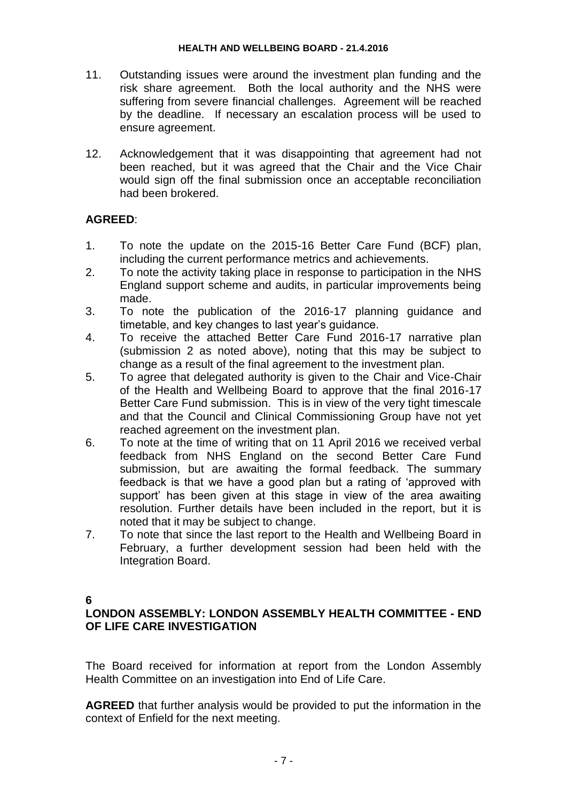- 11. Outstanding issues were around the investment plan funding and the risk share agreement. Both the local authority and the NHS were suffering from severe financial challenges. Agreement will be reached by the deadline. If necessary an escalation process will be used to ensure agreement.
- 12. Acknowledgement that it was disappointing that agreement had not been reached, but it was agreed that the Chair and the Vice Chair would sign off the final submission once an acceptable reconciliation had been brokered.

## **AGREED**:

- 1. To note the update on the 2015-16 Better Care Fund (BCF) plan, including the current performance metrics and achievements.
- 2. To note the activity taking place in response to participation in the NHS England support scheme and audits, in particular improvements being made.
- 3. To note the publication of the 2016-17 planning guidance and timetable, and key changes to last year's guidance.
- 4. To receive the attached Better Care Fund 2016-17 narrative plan (submission 2 as noted above), noting that this may be subject to change as a result of the final agreement to the investment plan.
- 5. To agree that delegated authority is given to the Chair and Vice-Chair of the Health and Wellbeing Board to approve that the final 2016-17 Better Care Fund submission. This is in view of the very tight timescale and that the Council and Clinical Commissioning Group have not yet reached agreement on the investment plan.
- 6. To note at the time of writing that on 11 April 2016 we received verbal feedback from NHS England on the second Better Care Fund submission, but are awaiting the formal feedback. The summary feedback is that we have a good plan but a rating of 'approved with support' has been given at this stage in view of the area awaiting resolution. Further details have been included in the report, but it is noted that it may be subject to change.
- 7. To note that since the last report to the Health and Wellbeing Board in February, a further development session had been held with the Integration Board.

### **6**

### **LONDON ASSEMBLY: LONDON ASSEMBLY HEALTH COMMITTEE - END OF LIFE CARE INVESTIGATION**

The Board received for information at report from the London Assembly Health Committee on an investigation into End of Life Care.

**AGREED** that further analysis would be provided to put the information in the context of Enfield for the next meeting.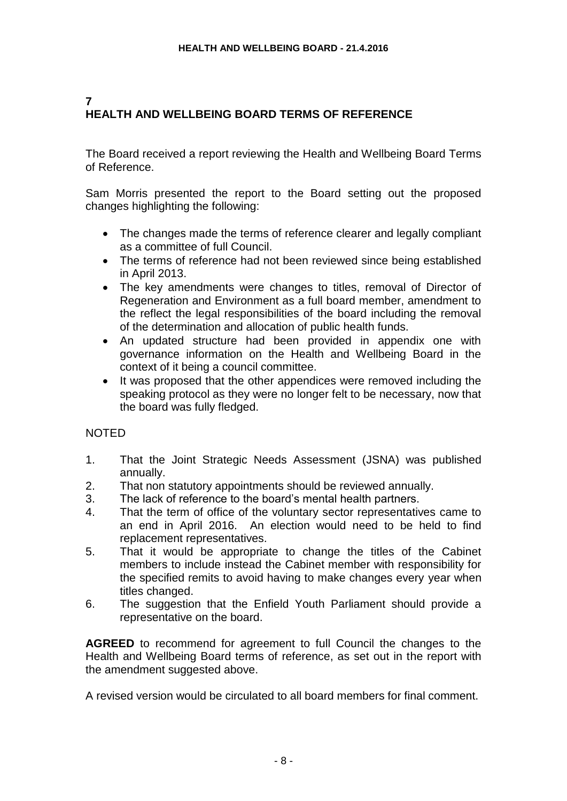# **7 HEALTH AND WELLBEING BOARD TERMS OF REFERENCE**

The Board received a report reviewing the Health and Wellbeing Board Terms of Reference.

Sam Morris presented the report to the Board setting out the proposed changes highlighting the following:

- The changes made the terms of reference clearer and legally compliant as a committee of full Council.
- The terms of reference had not been reviewed since being established in April 2013.
- The key amendments were changes to titles, removal of Director of Regeneration and Environment as a full board member, amendment to the reflect the legal responsibilities of the board including the removal of the determination and allocation of public health funds.
- An updated structure had been provided in appendix one with governance information on the Health and Wellbeing Board in the context of it being a council committee.
- It was proposed that the other appendices were removed including the speaking protocol as they were no longer felt to be necessary, now that the board was fully fledged.

## NOTED

- 1. That the Joint Strategic Needs Assessment (JSNA) was published annually.
- 2. That non statutory appointments should be reviewed annually.
- 3. The lack of reference to the board's mental health partners.
- 4. That the term of office of the voluntary sector representatives came to an end in April 2016. An election would need to be held to find replacement representatives.
- 5. That it would be appropriate to change the titles of the Cabinet members to include instead the Cabinet member with responsibility for the specified remits to avoid having to make changes every year when titles changed.
- 6. The suggestion that the Enfield Youth Parliament should provide a representative on the board.

**AGREED** to recommend for agreement to full Council the changes to the Health and Wellbeing Board terms of reference, as set out in the report with the amendment suggested above.

A revised version would be circulated to all board members for final comment.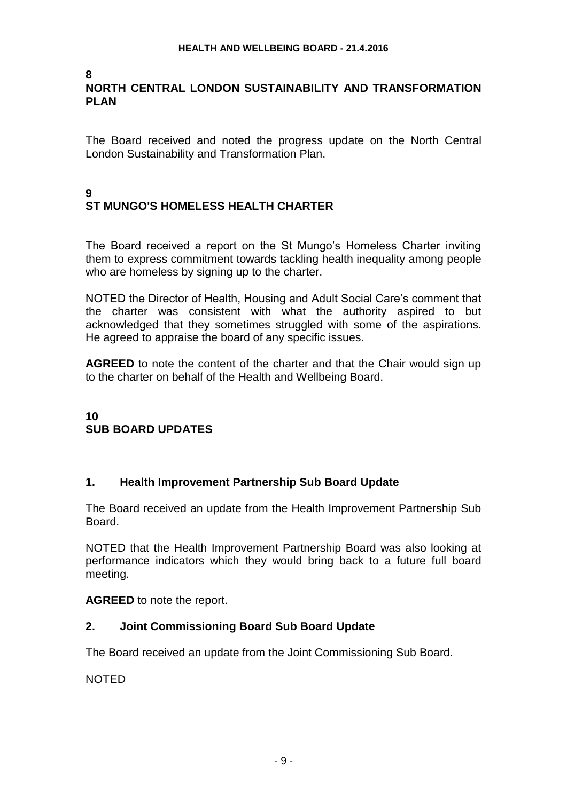#### **8 NORTH CENTRAL LONDON SUSTAINABILITY AND TRANSFORMATION PLAN**

The Board received and noted the progress update on the North Central London Sustainability and Transformation Plan.

## **9 ST MUNGO'S HOMELESS HEALTH CHARTER**

The Board received a report on the St Mungo's Homeless Charter inviting them to express commitment towards tackling health inequality among people who are homeless by signing up to the charter.

NOTED the Director of Health, Housing and Adult Social Care's comment that the charter was consistent with what the authority aspired to but acknowledged that they sometimes struggled with some of the aspirations. He agreed to appraise the board of any specific issues.

**AGREED** to note the content of the charter and that the Chair would sign up to the charter on behalf of the Health and Wellbeing Board.

## **10 SUB BOARD UPDATES**

## **1. Health Improvement Partnership Sub Board Update**

The Board received an update from the Health Improvement Partnership Sub Board.

NOTED that the Health Improvement Partnership Board was also looking at performance indicators which they would bring back to a future full board meeting.

**AGREED** to note the report.

### **2. Joint Commissioning Board Sub Board Update**

The Board received an update from the Joint Commissioning Sub Board.

NOTED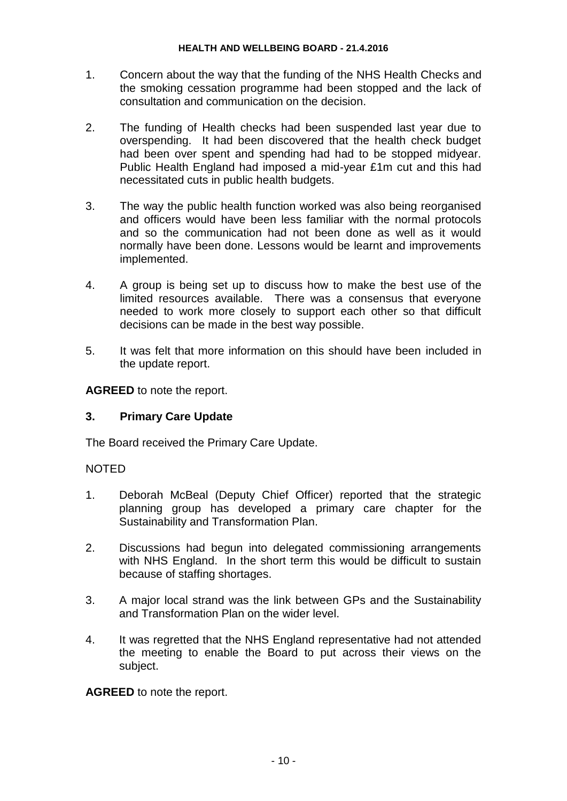- 1. Concern about the way that the funding of the NHS Health Checks and the smoking cessation programme had been stopped and the lack of consultation and communication on the decision.
- 2. The funding of Health checks had been suspended last year due to overspending. It had been discovered that the health check budget had been over spent and spending had had to be stopped midyear. Public Health England had imposed a mid-year £1m cut and this had necessitated cuts in public health budgets.
- 3. The way the public health function worked was also being reorganised and officers would have been less familiar with the normal protocols and so the communication had not been done as well as it would normally have been done. Lessons would be learnt and improvements implemented.
- 4. A group is being set up to discuss how to make the best use of the limited resources available. There was a consensus that everyone needed to work more closely to support each other so that difficult decisions can be made in the best way possible.
- 5. It was felt that more information on this should have been included in the update report.

**AGREED** to note the report.

## **3. Primary Care Update**

The Board received the Primary Care Update.

### NOTED

- 1. Deborah McBeal (Deputy Chief Officer) reported that the strategic planning group has developed a primary care chapter for the Sustainability and Transformation Plan.
- 2. Discussions had begun into delegated commissioning arrangements with NHS England. In the short term this would be difficult to sustain because of staffing shortages.
- 3. A major local strand was the link between GPs and the Sustainability and Transformation Plan on the wider level.
- 4. It was regretted that the NHS England representative had not attended the meeting to enable the Board to put across their views on the subject.

**AGREED** to note the report.